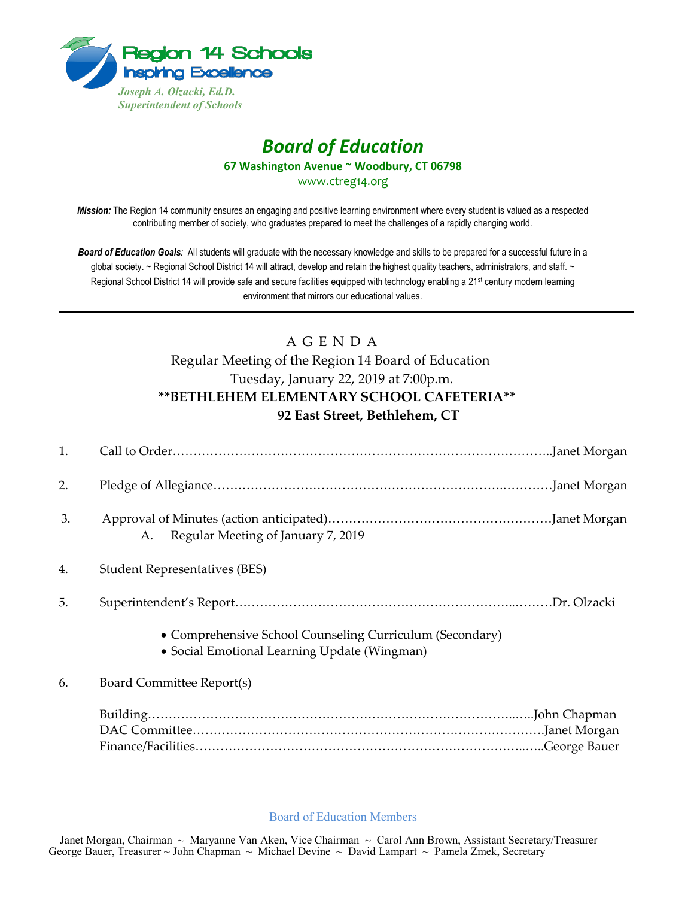

# *Board of Education* **67 Washington Avenue ~ Woodbury, CT 06798**

www.ctreg14.org

*Mission:* The Region 14 community ensures an engaging and positive learning environment where every student is valued as a respected contributing member of society, who graduates prepared to meet the challenges of a rapidly changing world.

*Board of Education Goals:* All students will graduate with the necessary knowledge and skills to be prepared for a successful future in a global society. ~ Regional School District 14 will attract, develop and retain the highest quality teachers, administrators, and staff. ~ Regional School District 14 will provide safe and secure facilities equipped with technology enabling a 21<sup>st</sup> century modern learning environment that mirrors our educational values.

## A G E N D A Regular Meeting of the Region 14 Board of Education Tuesday, January 22, 2019 at 7:00p.m. **\*\*BETHLEHEM ELEMENTARY SCHOOL CAFETERIA\*\* 92 East Street, Bethlehem, CT**

| 1. |                                                                                                          |  |
|----|----------------------------------------------------------------------------------------------------------|--|
| 2. |                                                                                                          |  |
| 3. | Regular Meeting of January 7, 2019<br>A.                                                                 |  |
| 4. | <b>Student Representatives (BES)</b>                                                                     |  |
| 5. |                                                                                                          |  |
|    | • Comprehensive School Counseling Curriculum (Secondary)<br>• Social Emotional Learning Update (Wingman) |  |
| 6. | Board Committee Report(s)                                                                                |  |
|    |                                                                                                          |  |

Board of Education Members